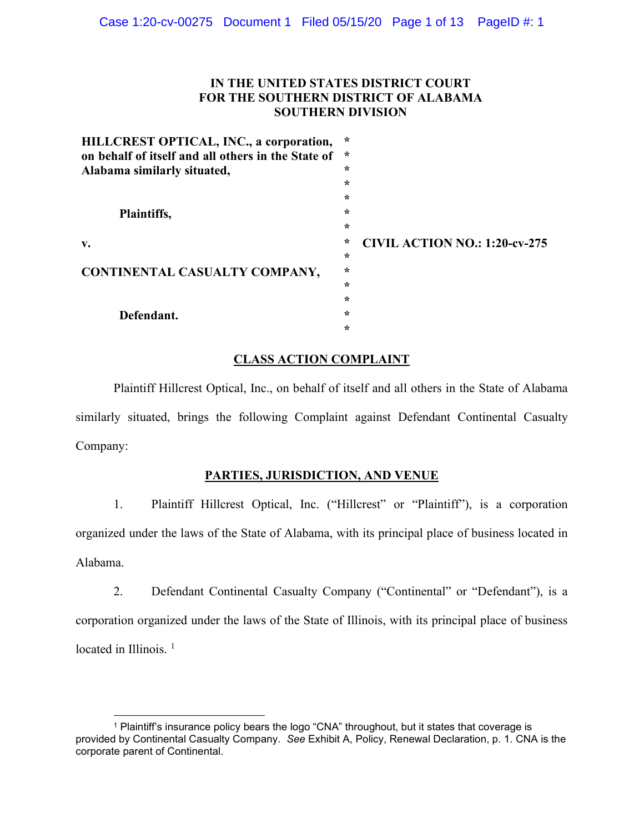# **IN THE UNITED STATES DISTRICT COURT FOR THE SOUTHERN DISTRICT OF ALABAMA SOUTHERN DIVISION**

| HILLCREST OPTICAL, INC., a corporation,<br>on behalf of itself and all others in the State of | $\star$<br>$\ast$ |                                      |
|-----------------------------------------------------------------------------------------------|-------------------|--------------------------------------|
| Alabama similarly situated,                                                                   | $\star$           |                                      |
|                                                                                               | $\star$           |                                      |
|                                                                                               | $\star$           |                                      |
| Plaintiffs,                                                                                   | $\star$           |                                      |
|                                                                                               | $\star$           |                                      |
| v.                                                                                            | $\star$           | <b>CIVIL ACTION NO.: 1:20-cv-275</b> |
|                                                                                               | $\star$           |                                      |
| CONTINENTAL CASUALTY COMPANY,                                                                 | $\star$           |                                      |
|                                                                                               | $\star$           |                                      |
|                                                                                               | $\star$           |                                      |
| Defendant.                                                                                    | $\star$           |                                      |
|                                                                                               | $\star$           |                                      |

# **CLASS ACTION COMPLAINT**

Plaintiff Hillcrest Optical, Inc., on behalf of itself and all others in the State of Alabama similarly situated, brings the following Complaint against Defendant Continental Casualty Company:

# **PARTIES, JURISDICTION, AND VENUE**

1. Plaintiff Hillcrest Optical, Inc. ("Hillcrest" or "Plaintiff"), is a corporation organized under the laws of the State of Alabama, with its principal place of business located in Alabama.

2. Defendant Continental Casualty Company ("Continental" or "Defendant"), is a corporation organized under the laws of the State of Illinois, with its principal place of business located in Illinois.<sup>[1](#page-0-0)</sup>

<span id="page-0-0"></span><sup>1</sup> Plaintiff's insurance policy bears the logo "CNA" throughout, but it states that coverage is provided by Continental Casualty Company. *See* Exhibit A, Policy, Renewal Declaration, p. 1. CNA is the corporate parent of Continental.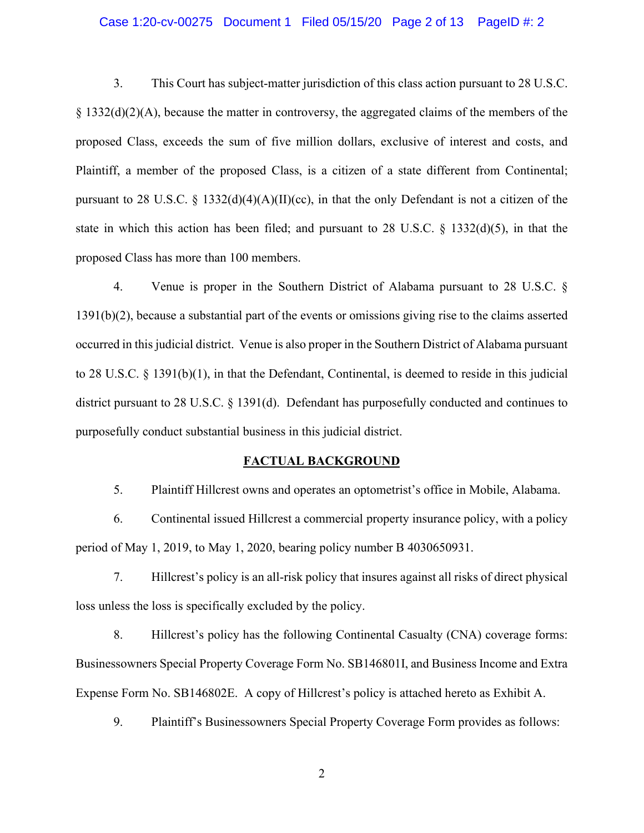#### Case 1:20-cv-00275 Document 1 Filed 05/15/20 Page 2 of 13 PageID #: 2

3. This Court has subject-matter jurisdiction of this class action pursuant to 28 U.S.C. § 1332(d)(2)(A), because the matter in controversy, the aggregated claims of the members of the proposed Class, exceeds the sum of five million dollars, exclusive of interest and costs, and Plaintiff, a member of the proposed Class, is a citizen of a state different from Continental; pursuant to 28 U.S.C. § 1332(d)(4)(A)(II)(cc), in that the only Defendant is not a citizen of the state in which this action has been filed; and pursuant to 28 U.S.C.  $\S$  1332(d)(5), in that the proposed Class has more than 100 members.

4. Venue is proper in the Southern District of Alabama pursuant to 28 U.S.C. § 1391(b)(2), because a substantial part of the events or omissions giving rise to the claims asserted occurred in this judicial district. Venue is also proper in the Southern District of Alabama pursuant to 28 U.S.C. § 1391(b)(1), in that the Defendant, Continental, is deemed to reside in this judicial district pursuant to 28 U.S.C. § 1391(d). Defendant has purposefully conducted and continues to purposefully conduct substantial business in this judicial district.

#### **FACTUAL BACKGROUND**

5. Plaintiff Hillcrest owns and operates an optometrist's office in Mobile, Alabama.

6. Continental issued Hillcrest a commercial property insurance policy, with a policy period of May 1, 2019, to May 1, 2020, bearing policy number B 4030650931.

7. Hillcrest's policy is an all-risk policy that insures against all risks of direct physical loss unless the loss is specifically excluded by the policy.

8. Hillcrest's policy has the following Continental Casualty (CNA) coverage forms: Businessowners Special Property Coverage Form No. SB146801I, and Business Income and Extra Expense Form No. SB146802E. A copy of Hillcrest's policy is attached hereto as Exhibit A.

9. Plaintiff's Businessowners Special Property Coverage Form provides as follows: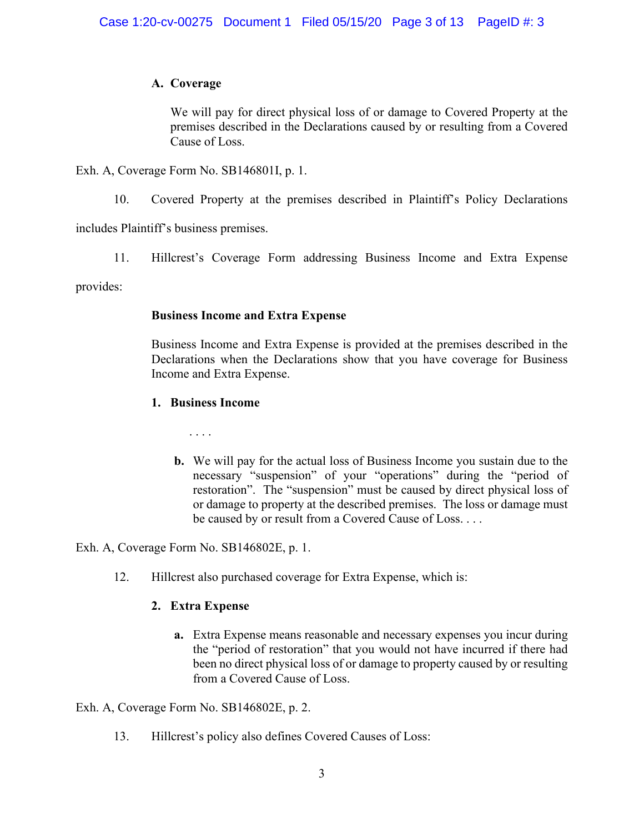# **A. Coverage**

We will pay for direct physical loss of or damage to Covered Property at the premises described in the Declarations caused by or resulting from a Covered Cause of Loss.

Exh. A, Coverage Form No. SB146801I, p. 1.

10. Covered Property at the premises described in Plaintiff's Policy Declarations

includes Plaintiff's business premises.

11. Hillcrest's Coverage Form addressing Business Income and Extra Expense

provides:

# **Business Income and Extra Expense**

Business Income and Extra Expense is provided at the premises described in the Declarations when the Declarations show that you have coverage for Business Income and Extra Expense.

# **1. Business Income**

. . . .

**b.** We will pay for the actual loss of Business Income you sustain due to the necessary "suspension" of your "operations" during the "period of restoration". The "suspension" must be caused by direct physical loss of or damage to property at the described premises. The loss or damage must be caused by or result from a Covered Cause of Loss. . . .

Exh. A, Coverage Form No. SB146802E, p. 1.

12. Hillcrest also purchased coverage for Extra Expense, which is:

# **2. Extra Expense**

**a.** Extra Expense means reasonable and necessary expenses you incur during the "period of restoration" that you would not have incurred if there had been no direct physical loss of or damage to property caused by or resulting from a Covered Cause of Loss.

Exh. A, Coverage Form No. SB146802E, p. 2.

13. Hillcrest's policy also defines Covered Causes of Loss: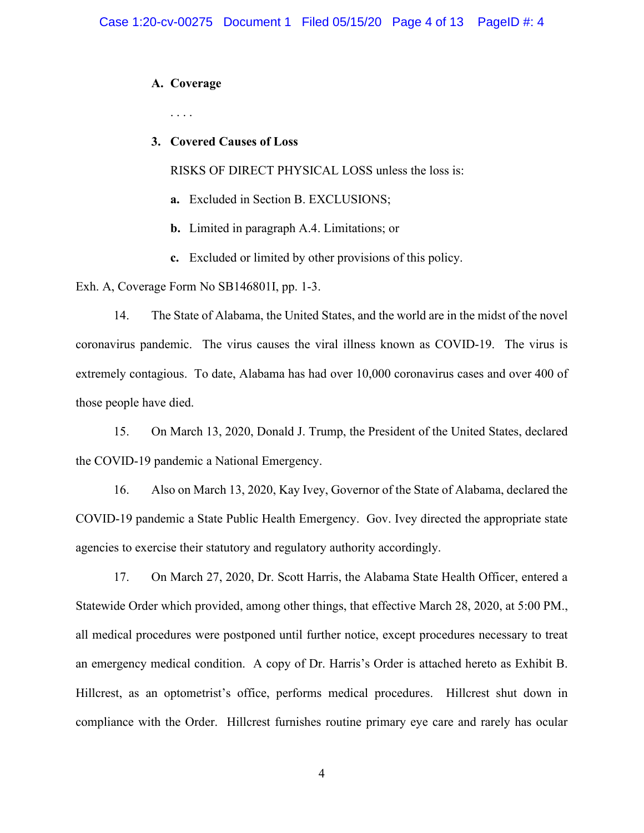## **A. Coverage**

. . . .

## **3. Covered Causes of Loss**

RISKS OF DIRECT PHYSICAL LOSS unless the loss is:

- **a.** Excluded in Section B. EXCLUSIONS;
- **b.** Limited in paragraph A.4. Limitations; or
- **c.** Excluded or limited by other provisions of this policy.

Exh. A, Coverage Form No SB146801I, pp. 1-3.

14. The State of Alabama, the United States, and the world are in the midst of the novel coronavirus pandemic. The virus causes the viral illness known as COVID-19. The virus is extremely contagious. To date, Alabama has had over 10,000 coronavirus cases and over 400 of those people have died.

15. On March 13, 2020, Donald J. Trump, the President of the United States, declared the COVID-19 pandemic a National Emergency.

16. Also on March 13, 2020, Kay Ivey, Governor of the State of Alabama, declared the COVID-19 pandemic a State Public Health Emergency. Gov. Ivey directed the appropriate state agencies to exercise their statutory and regulatory authority accordingly.

17. On March 27, 2020, Dr. Scott Harris, the Alabama State Health Officer, entered a Statewide Order which provided, among other things, that effective March 28, 2020, at 5:00 PM., all medical procedures were postponed until further notice, except procedures necessary to treat an emergency medical condition. A copy of Dr. Harris's Order is attached hereto as Exhibit B. Hillcrest, as an optometrist's office, performs medical procedures. Hillcrest shut down in compliance with the Order. Hillcrest furnishes routine primary eye care and rarely has ocular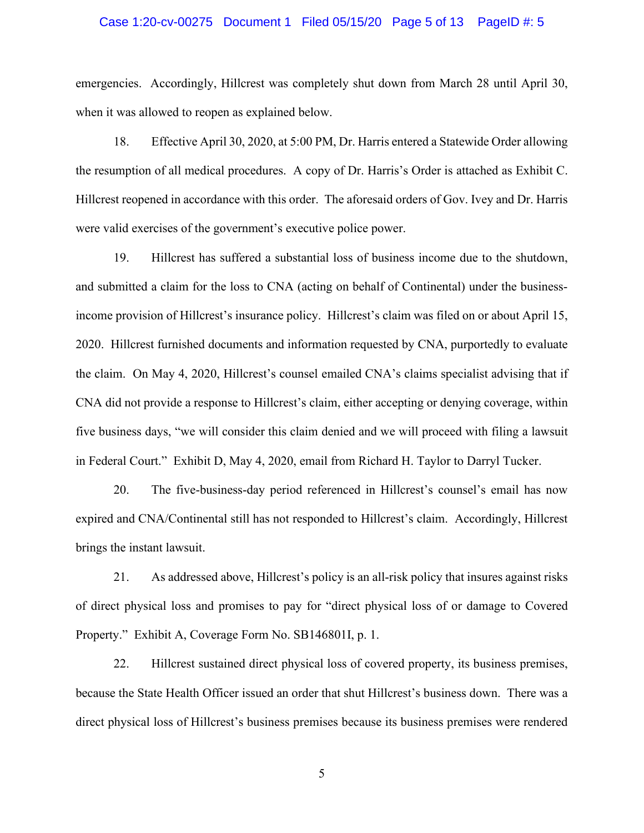#### Case 1:20-cv-00275 Document 1 Filed 05/15/20 Page 5 of 13 PageID #: 5

emergencies. Accordingly, Hillcrest was completely shut down from March 28 until April 30, when it was allowed to reopen as explained below.

18. Effective April 30, 2020, at 5:00 PM, Dr. Harris entered a Statewide Order allowing the resumption of all medical procedures. A copy of Dr. Harris's Order is attached as Exhibit C. Hillcrest reopened in accordance with this order. The aforesaid orders of Gov. Ivey and Dr. Harris were valid exercises of the government's executive police power.

19. Hillcrest has suffered a substantial loss of business income due to the shutdown, and submitted a claim for the loss to CNA (acting on behalf of Continental) under the businessincome provision of Hillcrest's insurance policy. Hillcrest's claim was filed on or about April 15, 2020. Hillcrest furnished documents and information requested by CNA, purportedly to evaluate the claim. On May 4, 2020, Hillcrest's counsel emailed CNA's claims specialist advising that if CNA did not provide a response to Hillcrest's claim, either accepting or denying coverage, within five business days, "we will consider this claim denied and we will proceed with filing a lawsuit in Federal Court." Exhibit D, May 4, 2020, email from Richard H. Taylor to Darryl Tucker.

20. The five-business-day period referenced in Hillcrest's counsel's email has now expired and CNA/Continental still has not responded to Hillcrest's claim. Accordingly, Hillcrest brings the instant lawsuit.

21. As addressed above, Hillcrest's policy is an all-risk policy that insures against risks of direct physical loss and promises to pay for "direct physical loss of or damage to Covered Property." Exhibit A, Coverage Form No. SB146801I, p. 1.

22. Hillcrest sustained direct physical loss of covered property, its business premises, because the State Health Officer issued an order that shut Hillcrest's business down. There was a direct physical loss of Hillcrest's business premises because its business premises were rendered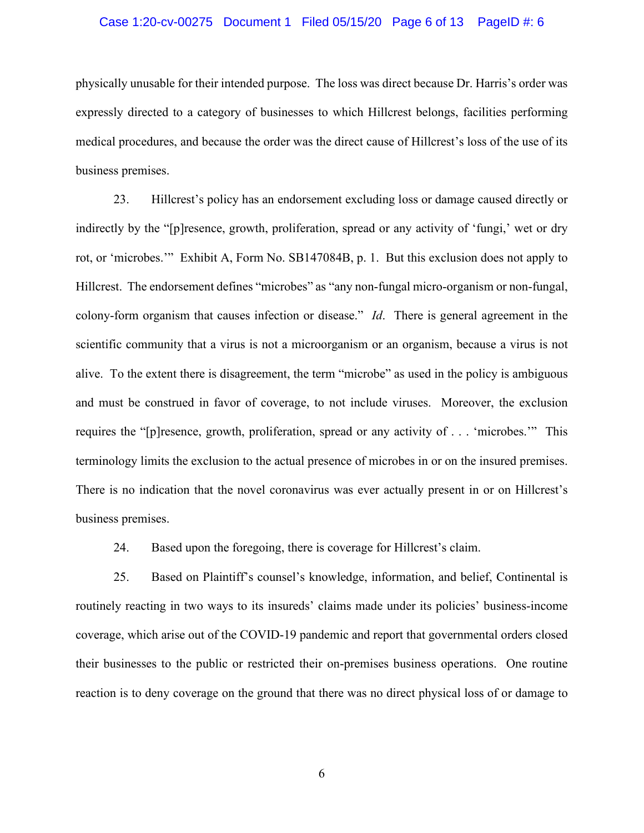#### Case 1:20-cv-00275 Document 1 Filed 05/15/20 Page 6 of 13 PageID #: 6

physically unusable for their intended purpose. The loss was direct because Dr. Harris's order was expressly directed to a category of businesses to which Hillcrest belongs, facilities performing medical procedures, and because the order was the direct cause of Hillcrest's loss of the use of its business premises.

23. Hillcrest's policy has an endorsement excluding loss or damage caused directly or indirectly by the "[p]resence, growth, proliferation, spread or any activity of 'fungi,' wet or dry rot, or 'microbes.'" Exhibit A, Form No. SB147084B, p. 1. But this exclusion does not apply to Hillcrest. The endorsement defines "microbes" as "any non-fungal micro-organism or non-fungal, colony-form organism that causes infection or disease." *Id*. There is general agreement in the scientific community that a virus is not a microorganism or an organism, because a virus is not alive. To the extent there is disagreement, the term "microbe" as used in the policy is ambiguous and must be construed in favor of coverage, to not include viruses. Moreover, the exclusion requires the "[p]resence, growth, proliferation, spread or any activity of . . . 'microbes.'" This terminology limits the exclusion to the actual presence of microbes in or on the insured premises. There is no indication that the novel coronavirus was ever actually present in or on Hillcrest's business premises.

24. Based upon the foregoing, there is coverage for Hillcrest's claim.

25. Based on Plaintiff's counsel's knowledge, information, and belief, Continental is routinely reacting in two ways to its insureds' claims made under its policies' business-income coverage, which arise out of the COVID-19 pandemic and report that governmental orders closed their businesses to the public or restricted their on-premises business operations. One routine reaction is to deny coverage on the ground that there was no direct physical loss of or damage to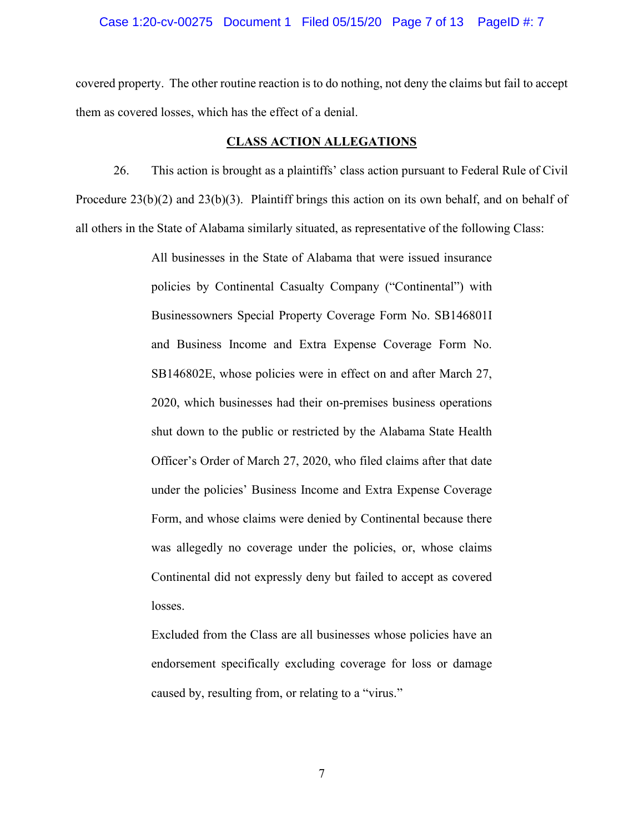#### Case 1:20-cv-00275 Document 1 Filed 05/15/20 Page 7 of 13 PageID #: 7

covered property. The other routine reaction is to do nothing, not deny the claims but fail to accept them as covered losses, which has the effect of a denial.

#### **CLASS ACTION ALLEGATIONS**

26. This action is brought as a plaintiffs' class action pursuant to Federal Rule of Civil Procedure  $23(b)(2)$  and  $23(b)(3)$ . Plaintiff brings this action on its own behalf, and on behalf of all others in the State of Alabama similarly situated, as representative of the following Class:

> All businesses in the State of Alabama that were issued insurance policies by Continental Casualty Company ("Continental") with Businessowners Special Property Coverage Form No. SB146801I and Business Income and Extra Expense Coverage Form No. SB146802E, whose policies were in effect on and after March 27, 2020, which businesses had their on-premises business operations shut down to the public or restricted by the Alabama State Health Officer's Order of March 27, 2020, who filed claims after that date under the policies' Business Income and Extra Expense Coverage Form, and whose claims were denied by Continental because there was allegedly no coverage under the policies, or, whose claims Continental did not expressly deny but failed to accept as covered losses.

> Excluded from the Class are all businesses whose policies have an endorsement specifically excluding coverage for loss or damage caused by, resulting from, or relating to a "virus."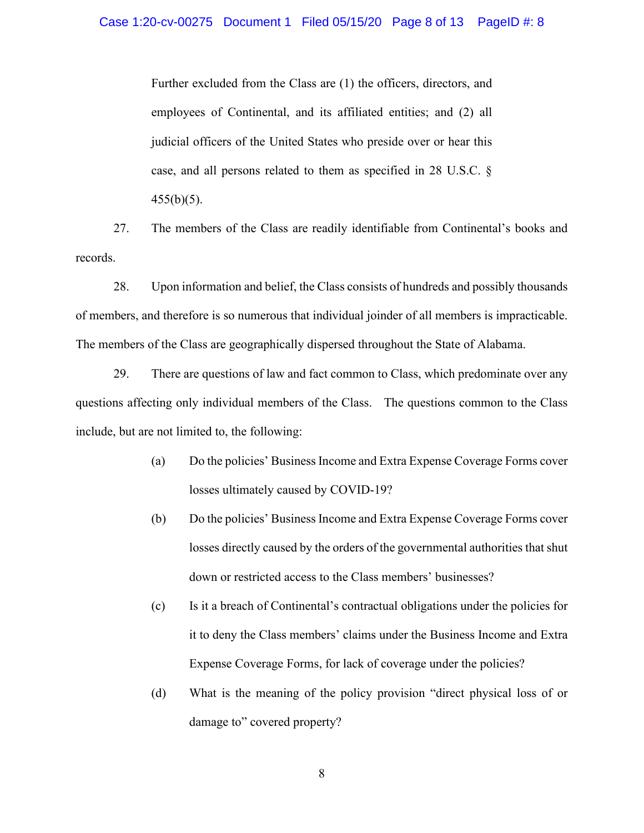Further excluded from the Class are (1) the officers, directors, and employees of Continental, and its affiliated entities; and (2) all judicial officers of the United States who preside over or hear this case, and all persons related to them as specified in 28 U.S.C. §  $455(b)(5)$ .

27. The members of the Class are readily identifiable from Continental's books and records.

28. Upon information and belief, the Class consists of hundreds and possibly thousands of members, and therefore is so numerous that individual joinder of all members is impracticable. The members of the Class are geographically dispersed throughout the State of Alabama.

29. There are questions of law and fact common to Class, which predominate over any questions affecting only individual members of the Class. The questions common to the Class include, but are not limited to, the following:

- (a) Do the policies' Business Income and Extra Expense Coverage Forms cover losses ultimately caused by COVID-19?
- (b) Do the policies' Business Income and Extra Expense Coverage Forms cover losses directly caused by the orders of the governmental authorities that shut down or restricted access to the Class members' businesses?
- (c) Is it a breach of Continental's contractual obligations under the policies for it to deny the Class members' claims under the Business Income and Extra Expense Coverage Forms, for lack of coverage under the policies?
- (d) What is the meaning of the policy provision "direct physical loss of or damage to" covered property?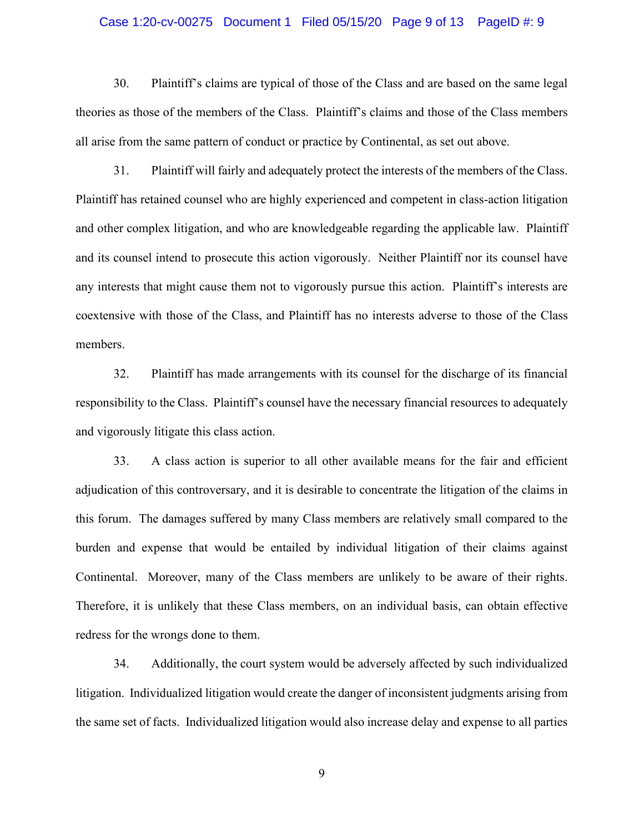#### Case 1:20-cv-00275 Document 1 Filed 05/15/20 Page 9 of 13 PageID #: 9

30. Plaintiff's claims are typical of those of the Class and are based on the same legal theories as those of the members of the Class. Plaintiff's claims and those of the Class members all arise from the same pattern of conduct or practice by Continental, as set out above.

31. Plaintiff will fairly and adequately protect the interests of the members of the Class. Plaintiff has retained counsel who are highly experienced and competent in class-action litigation and other complex litigation, and who are knowledgeable regarding the applicable law. Plaintiff and its counsel intend to prosecute this action vigorously. Neither Plaintiff nor its counsel have any interests that might cause them not to vigorously pursue this action. Plaintiff's interests are coextensive with those of the Class, and Plaintiff has no interests adverse to those of the Class members.

32. Plaintiff has made arrangements with its counsel for the discharge of its financial responsibility to the Class. Plaintiff's counsel have the necessary financial resources to adequately and vigorously litigate this class action.

33. A class action is superior to all other available means for the fair and efficient adjudication of this controversary, and it is desirable to concentrate the litigation of the claims in this forum. The damages suffered by many Class members are relatively small compared to the burden and expense that would be entailed by individual litigation of their claims against Continental. Moreover, many of the Class members are unlikely to be aware of their rights. Therefore, it is unlikely that these Class members, on an individual basis, can obtain effective redress for the wrongs done to them.

34. Additionally, the court system would be adversely affected by such individualized litigation. Individualized litigation would create the danger of inconsistent judgments arising from the same set of facts. Individualized litigation would also increase delay and expense to all parties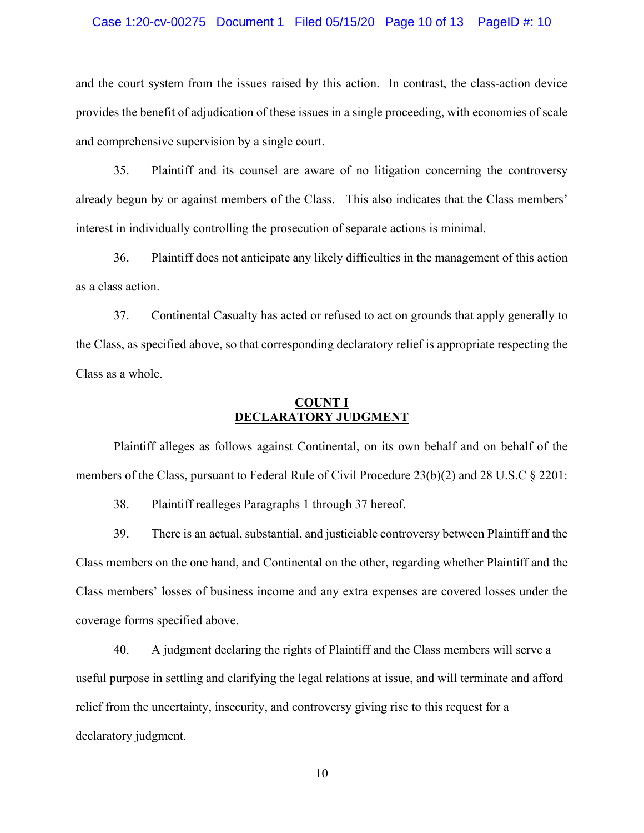#### Case 1:20-cv-00275 Document 1 Filed 05/15/20 Page 10 of 13 PageID #: 10

and the court system from the issues raised by this action. In contrast, the class-action device provides the benefit of adjudication of these issues in a single proceeding, with economies of scale and comprehensive supervision by a single court.

35. Plaintiff and its counsel are aware of no litigation concerning the controversy already begun by or against members of the Class. This also indicates that the Class members' interest in individually controlling the prosecution of separate actions is minimal.

36. Plaintiff does not anticipate any likely difficulties in the management of this action as a class action.

37. Continental Casualty has acted or refused to act on grounds that apply generally to the Class, as specified above, so that corresponding declaratory relief is appropriate respecting the Class as a whole.

## **COUNT I DECLARATORY JUDGMENT**

Plaintiff alleges as follows against Continental, on its own behalf and on behalf of the members of the Class, pursuant to Federal Rule of Civil Procedure 23(b)(2) and 28 U.S.C § 2201:

38. Plaintiff realleges Paragraphs 1 through 37 hereof.

39. There is an actual, substantial, and justiciable controversy between Plaintiff and the Class members on the one hand, and Continental on the other, regarding whether Plaintiff and the Class members' losses of business income and any extra expenses are covered losses under the coverage forms specified above.

40. A judgment declaring the rights of Plaintiff and the Class members will serve a useful purpose in settling and clarifying the legal relations at issue, and will terminate and afford relief from the uncertainty, insecurity, and controversy giving rise to this request for a declaratory judgment.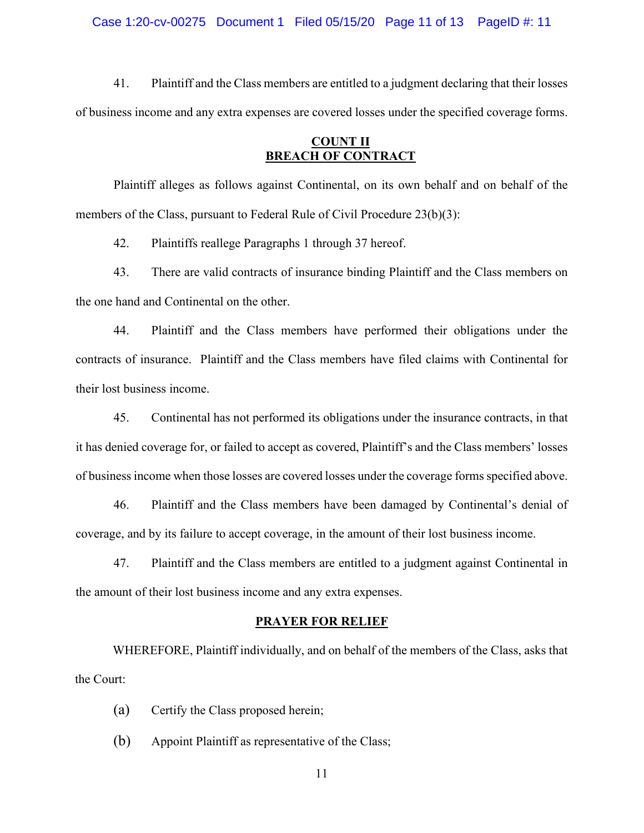Case 1:20-cv-00275 Document 1 Filed 05/15/20 Page 11 of 13 PageID #: 11

41. Plaintiff and the Class members are entitled to a judgment declaring that their losses of business income and any extra expenses are covered losses under the specified coverage forms.

# **COUNT II BREACH OF CONTRACT**

Plaintiff alleges as follows against Continental, on its own behalf and on behalf of the members of the Class, pursuant to Federal Rule of Civil Procedure 23(b)(3):

42. Plaintiffs reallege Paragraphs 1 through 37 hereof.

43. There are valid contracts of insurance binding Plaintiff and the Class members on the one hand and Continental on the other.

44. Plaintiff and the Class members have performed their obligations under the contracts of insurance. Plaintiff and the Class members have filed claims with Continental for their lost business income.

45. Continental has not performed its obligations under the insurance contracts, in that it has denied coverage for, or failed to accept as covered, Plaintiff's and the Class members' losses of business income when those losses are covered losses under the coverage forms specified above.

46. Plaintiff and the Class members have been damaged by Continental's denial of coverage, and by its failure to accept coverage, in the amount of their lost business income.

47. Plaintiff and the Class members are entitled to a judgment against Continental in the amount of their lost business income and any extra expenses.

## **PRAYER FOR RELIEF**

WHEREFORE, Plaintiff individually, and on behalf of the members of the Class, asks that the Court:

- (a) Certify the Class proposed herein;
- (b) Appoint Plaintiff as representative of the Class;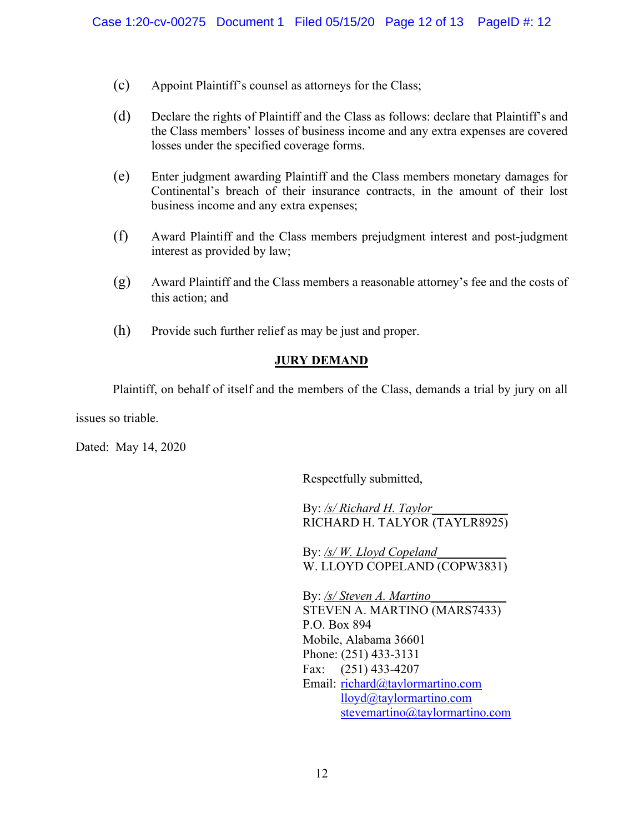- (c) Appoint Plaintiff's counsel as attorneys for the Class;
- (d) Declare the rights of Plaintiff and the Class as follows: declare that Plaintiff's and the Class members' losses of business income and any extra expenses are covered losses under the specified coverage forms.
- (e) Enter judgment awarding Plaintiff and the Class members monetary damages for Continental's breach of their insurance contracts, in the amount of their lost business income and any extra expenses;
- (f) Award Plaintiff and the Class members prejudgment interest and post-judgment interest as provided by law;
- (g) Award Plaintiff and the Class members a reasonable attorney's fee and the costs of this action; and
- (h) Provide such further relief as may be just and proper.

# **JURY DEMAND**

Plaintiff, on behalf of itself and the members of the Class, demands a trial by jury on all

issues so triable.

Dated: May 14, 2020

Respectfully submitted,

By: */s/ Richard H. Taylor*\_\_\_\_\_\_\_\_\_\_\_\_ RICHARD H. TALYOR (TAYLR8925)

By: <u>/s/ W. Lloyd Copeland</u> W. LLOYD COPELAND (COPW3831)

By: /s/ Steven A. Martino STEVEN A. MARTINO (MARS7433) P.O. Box 894 Mobile, Alabama 36601 Phone: (251) 433-3131 Fax: (251) 433-4207 Email: [richard@taylormartino.com](mailto:richard@taylormartino.com) [lloyd@taylormartino.com](mailto:lloyd@taylormartino.com) [stevemartino@taylormartino.com](mailto:stevemartino@taylormartino.com)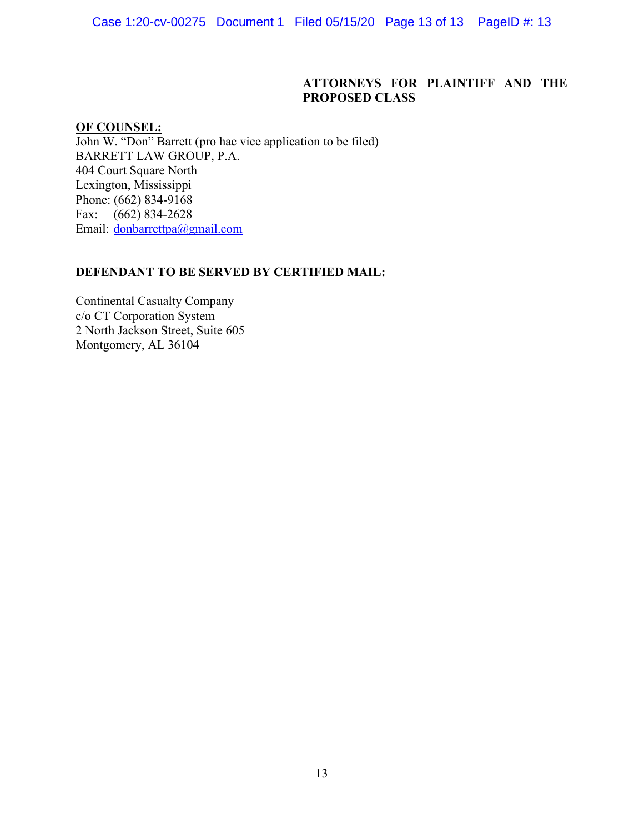Case 1:20-cv-00275 Document 1 Filed 05/15/20 Page 13 of 13 PageID #: 13

# **ATTORNEYS FOR PLAINTIFF AND THE PROPOSED CLASS**

# **OF COUNSEL:**

John W. "Don" Barrett (pro hac vice application to be filed) BARRETT LAW GROUP, P.A. 404 Court Square North Lexington, Mississippi Phone: (662) 834-9168 Fax: (662) 834-2628 Email: [donbarrettpa@gmail.com](mailto:donbarrettpa@gmail.com)

# **DEFENDANT TO BE SERVED BY CERTIFIED MAIL:**

Continental Casualty Company c/o CT Corporation System 2 North Jackson Street, Suite 605 Montgomery, AL 36104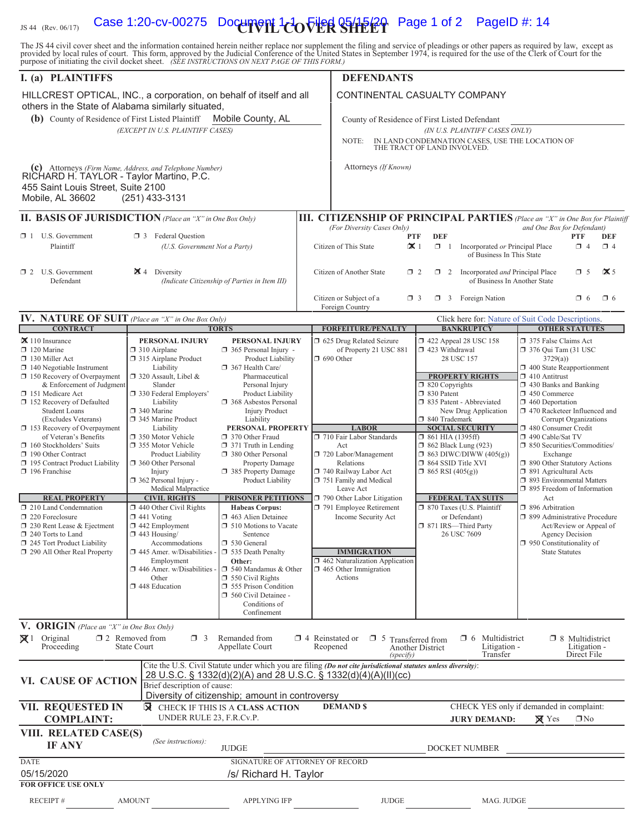# IS 44 (Rev. 06/17) **Case 1:20-cv-00275 Document 1-1 To Filed 05/15/20** Page 1 of 2 PageID #: 14

The JS 44 civil cover sheet and the information contained herein neither replace nor supplement the filing and service of pleadings or other papers as required by law, except as provided by local rules of court. This form,

| I. (a) PLAINTIFFS                                                                                                         |                                                            |                                                    |                                          | <b>DEFENDANTS</b>                                                                                              |                                               |                                                                             |                                                        |                                                       |                     |  |  |  |
|---------------------------------------------------------------------------------------------------------------------------|------------------------------------------------------------|----------------------------------------------------|------------------------------------------|----------------------------------------------------------------------------------------------------------------|-----------------------------------------------|-----------------------------------------------------------------------------|--------------------------------------------------------|-------------------------------------------------------|---------------------|--|--|--|
| HILLCREST OPTICAL, INC., a corporation, on behalf of itself and all<br>others in the State of Alabama similarly situated, |                                                            |                                                    |                                          | CONTINENTAL CASUALTY COMPANY                                                                                   |                                               |                                                                             |                                                        |                                                       |                     |  |  |  |
| (b) County of Residence of First Listed Plaintiff                                                                         |                                                            | Mobile County, AL                                  |                                          |                                                                                                                | County of Residence of First Listed Defendant |                                                                             |                                                        |                                                       |                     |  |  |  |
|                                                                                                                           | (EXCEPT IN U.S. PLAINTIFF CASES)                           |                                                    |                                          | NOTE:                                                                                                          |                                               | (IN U.S. PLAINTIFF CASES ONLY)                                              |                                                        |                                                       |                     |  |  |  |
|                                                                                                                           |                                                            |                                                    |                                          |                                                                                                                |                                               | IN LAND CONDEMNATION CASES, USE THE LOCATION OF THE TRACT OF LAND INVOLVED. |                                                        |                                                       |                     |  |  |  |
| (c) Attorneys (Firm Name, Address, and Telephone Number)<br>RICHARD H. TAYLOR - Taylor Martino, P.C.                      |                                                            |                                                    |                                          | Attorneys (If Known)                                                                                           |                                               |                                                                             |                                                        |                                                       |                     |  |  |  |
| 455 Saint Louis Street, Suite 2100                                                                                        |                                                            |                                                    |                                          |                                                                                                                |                                               |                                                                             |                                                        |                                                       |                     |  |  |  |
| Mobile, AL 36602                                                                                                          | $(251)$ 433-3131                                           |                                                    |                                          |                                                                                                                |                                               |                                                                             |                                                        |                                                       |                     |  |  |  |
| <b>II. BASIS OF JURISDICTION</b> (Place an "X" in One Box Only)                                                           |                                                            |                                                    |                                          | <b>III. CITIZENSHIP OF PRINCIPAL PARTIES</b> (Place an "X" in One Box for Plaintiff                            |                                               |                                                                             |                                                        |                                                       |                     |  |  |  |
| $\Box$ 1 U.S. Government<br><b>3</b> Federal Question                                                                     |                                                            |                                                    | (For Diversity Cases Only)<br><b>PTF</b> | <b>DEF</b>                                                                                                     |                                               | and One Box for Defendant)                                                  | <b>PTF</b>                                             | DEF                                                   |                     |  |  |  |
| Plaintiff                                                                                                                 |                                                            | (U.S. Government Not a Party)                      |                                          | $\mathbf{\times}1$<br>Citizen of This State                                                                    | $\Box$ 1                                      | Incorporated or Principal Place<br>of Business In This State                |                                                        | $\Box$ 4                                              | $\Box$ 4            |  |  |  |
| $\Box$ 2 U.S. Government<br>Defendant                                                                                     | $\blacktriangleright$ 4 Diversity                          | (Indicate Citizenship of Parties in Item III)      | Citizen of Another State                 |                                                                                                                | $\Box$ 2<br>$\Box$ 2                          | Incorporated and Principal Place<br>of Business In Another State            |                                                        | $\Box$ 5                                              | $\mathbf{\times}$ 5 |  |  |  |
|                                                                                                                           |                                                            |                                                    |                                          | Citizen or Subject of a<br>$\Box$ 3<br>Foreign Country                                                         |                                               | $\Box$ 3 Foreign Nation                                                     |                                                        | $\Box$ 6                                              | $\Box$ 6            |  |  |  |
| <b>IV. NATURE OF SUIT</b> (Place an "X" in One Box Only)<br><b>CONTRACT</b>                                               |                                                            | <b>TORTS</b>                                       |                                          | <b>FORFEITURE/PENALTY</b>                                                                                      |                                               | Click here for: Nature of Suit Code Descriptions.<br><b>BANKRUPTCY</b>      |                                                        | <b>OTHER STATUTES</b>                                 |                     |  |  |  |
| $\mathbf{\times}$ 110 Insurance                                                                                           | PERSONAL INJURY                                            | PERSONAL INJURY                                    |                                          | 5 625 Drug Related Seizure                                                                                     |                                               | 1 422 Appeal 28 USC 158                                                     | 375 False Claims Act                                   |                                                       |                     |  |  |  |
| $\Box$ 120 Marine<br>$\Box$ 130 Miller Act                                                                                | $\Box$ 310 Airplane<br>□ 315 Airplane Product              | $\Box$ 365 Personal Injury -<br>Product Liability  |                                          | of Property 21 USC 881<br>$\Box$ 690 Other                                                                     | 423 Withdrawal                                | 28 USC 157                                                                  | $\Box$ 376 Qui Tam (31 USC<br>3729(a)                  |                                                       |                     |  |  |  |
| $\Box$ 140 Negotiable Instrument<br>$\Box$ 150 Recovery of Overpayment                                                    | Liability<br>320 Assault, Libel &                          | 367 Health Care/<br>Pharmaceutical                 |                                          |                                                                                                                |                                               | <b>PROPERTY RIGHTS</b>                                                      | 1 400 State Reapportionment<br>$\Box$ 410 Antitrust    |                                                       |                     |  |  |  |
| & Enforcement of Judgment                                                                                                 | Slander                                                    | Personal Injury                                    |                                          |                                                                                                                | $\Box$ 820 Copyrights                         |                                                                             | $\Box$ 430 Banks and Banking                           |                                                       |                     |  |  |  |
| 151 Medicare Act<br>152 Recovery of Defaulted                                                                             | 7 330 Federal Employers'<br>Liability                      | Product Liability<br>368 Asbestos Personal         |                                          |                                                                                                                | □ 830 Patent                                  | □ 835 Patent - Abbreviated                                                  | 1 450 Commerce<br>$\Box$ 460 Deportation               |                                                       |                     |  |  |  |
| <b>Student Loans</b><br>(Excludes Veterans)                                                                               | 340 Marine<br>345 Marine Product                           | <b>Injury Product</b><br>Liability                 |                                          |                                                                                                                | □ 840 Trademark                               | New Drug Application                                                        | $\Box$ 470 Racketeer Influenced and                    | Corrupt Organizations                                 |                     |  |  |  |
| $\Box$ 153 Recovery of Overpayment<br>of Veteran's Benefits                                                               | Liability<br>350 Motor Vehicle                             | PERSONAL PROPERTY<br>370 Other Fraud               |                                          | <b>LABOR</b><br>710 Fair Labor Standards                                                                       | $\Box$ 861 HIA (1395ff)                       | <b>SOCIAL SECURITY</b>                                                      | 480 Consumer Credit<br>490 Cable/Sat TV                |                                                       |                     |  |  |  |
| $\Box$ 160 Stockholders' Suits                                                                                            | 355 Motor Vehicle                                          | 371 Truth in Lending                               |                                          | Act                                                                                                            | $\Box$ 862 Black Lung (923)                   |                                                                             | □ 850 Securities/Commodities/                          |                                                       |                     |  |  |  |
| 190 Other Contract<br>195 Contract Product Liability                                                                      | Product Liability<br>360 Other Personal                    | 380 Other Personal<br>Property Damage              |                                          | 720 Labor/Management<br>Relations                                                                              | □ 864 SSID Title XVI                          | $\Box$ 863 DIWC/DIWW (405(g))                                               | Exchange<br>1 890 Other Statutory Actions              |                                                       |                     |  |  |  |
| $\Box$ 196 Franchise                                                                                                      | Injury<br>$\Box$ 362 Personal Injury -                     | 385 Property Damage<br>Product Liability           |                                          | 740 Railway Labor Act<br>751 Family and Medical                                                                | $\Box$ 865 RSI (405(g))                       |                                                                             | □ 891 Agricultural Acts<br>7 893 Environmental Matters |                                                       |                     |  |  |  |
| <b>REAL PROPERTY</b>                                                                                                      | Medical Malpractice<br><b>CIVIL RIGHTS</b>                 | <b>PRISONER PETITIONS</b>                          |                                          | Leave Act<br>$\Box$ 790 Other Labor Litigation                                                                 |                                               | <b>FEDERAL TAX SUITS</b>                                                    | $\Box$ 895 Freedom of Information<br>Act               |                                                       |                     |  |  |  |
| 210 Land Condemnation                                                                                                     | 440 Other Civil Rights                                     | <b>Habeas Corpus:</b>                              |                                          | 791 Employee Retirement                                                                                        |                                               | □ 870 Taxes (U.S. Plaintiff                                                 | □ 896 Arbitration                                      |                                                       |                     |  |  |  |
| 220 Foreclosure<br>230 Rent Lease & Ejectment                                                                             | $\Box$ 441 Voting<br>$\Box$ 442 Employment                 | 463 Alien Detainee<br>$\Box$ 510 Motions to Vacate |                                          | Income Security Act                                                                                            |                                               | or Defendant)<br>□ 871 IRS-Third Party                                      | □ 899 Administrative Procedure                         | Act/Review or Appeal of                               |                     |  |  |  |
| $\Box$ 240 Torts to Land<br>$\Box$ 245 Tort Product Liability                                                             | $\Box$ 443 Housing/<br>Accommodations                      | Sentence<br>□ 530 General                          |                                          |                                                                                                                |                                               | 26 USC 7609                                                                 | $\Box$ 950 Constitutionality of                        | <b>Agency Decision</b>                                |                     |  |  |  |
| 290 All Other Real Property                                                                                               | $\Box$ 445 Amer. w/Disabilities - $\Box$ 535 Death Penalty |                                                    |                                          | <b>IMMIGRATION</b>                                                                                             |                                               |                                                                             | <b>State Statutes</b>                                  |                                                       |                     |  |  |  |
|                                                                                                                           | Employment<br>$\Box$ 446 Amer. w/Disabilities -            | Other:<br>$\Box$ 540 Mandamus & Other              |                                          | $\Box$ 462 Naturalization Application<br>$\Box$ 465 Other Immigration                                          |                                               |                                                                             |                                                        |                                                       |                     |  |  |  |
|                                                                                                                           | Other<br>448 Education                                     | $\Box$ 550 Civil Rights<br>555 Prison Condition    |                                          | Actions                                                                                                        |                                               |                                                                             |                                                        |                                                       |                     |  |  |  |
|                                                                                                                           |                                                            | 560 Civil Detainee -<br>Conditions of              |                                          |                                                                                                                |                                               |                                                                             |                                                        |                                                       |                     |  |  |  |
|                                                                                                                           |                                                            | Confinement                                        |                                          |                                                                                                                |                                               |                                                                             |                                                        |                                                       |                     |  |  |  |
| <b>V. ORIGIN</b> (Place an "X" in One Box Only)                                                                           |                                                            |                                                    |                                          |                                                                                                                |                                               |                                                                             |                                                        |                                                       |                     |  |  |  |
| $\boxtimes$ 1 Original<br>Proceeding                                                                                      | $\Box$ 2 Removed from<br>$\Box$ 3<br><b>State Court</b>    | Remanded from<br>Appellate Court                   |                                          | $\Box$ 4 Reinstated or $\Box$ 5 Transferred from<br>Reopened<br>(specify)                                      | Another District                              | $\Box$ 6 Multidistrict<br>Litigation -<br>Transfer                          |                                                        | $\Box$ 8 Multidistrict<br>Litigation -<br>Direct File |                     |  |  |  |
|                                                                                                                           |                                                            |                                                    |                                          | Cite the U.S. Civil Statute under which you are filing (Do not cite jurisdictional statutes unless diversity): |                                               |                                                                             |                                                        |                                                       |                     |  |  |  |
| VI. CAUSE OF ACTION                                                                                                       | Brief description of cause:                                |                                                    |                                          | 28 U.S.C. § 1332(d)(2)(A) and 28 U.S.C. § 1332(d)(4)(A)(II)(cc)                                                |                                               |                                                                             |                                                        |                                                       |                     |  |  |  |
|                                                                                                                           |                                                            | Diversity of citizenship; amount in controversy    |                                          |                                                                                                                |                                               |                                                                             |                                                        |                                                       |                     |  |  |  |
| VII. REQUESTED IN<br><b>COMPLAINT:</b>                                                                                    | ⊠<br>UNDER RULE 23, F.R.Cv.P.                              | CHECK IF THIS IS A CLASS ACTION                    |                                          | <b>DEMAND \$</b>                                                                                               |                                               | CHECK YES only if demanded in complaint:<br><b>JURY DEMAND:</b>             | $\boxtimes$ Yes                                        | $\Box$ No                                             |                     |  |  |  |
| VIII. RELATED CASE(S)<br><b>IF ANY</b>                                                                                    | (See instructions):                                        | <b>JUDGE</b>                                       |                                          |                                                                                                                |                                               | DOCKET NUMBER                                                               |                                                        |                                                       |                     |  |  |  |
| <b>DATE</b>                                                                                                               |                                                            | SIGNATURE OF ATTORNEY OF RECORD                    |                                          |                                                                                                                |                                               |                                                                             |                                                        |                                                       |                     |  |  |  |
| 05/15/2020<br><b>FOR OFFICE USE ONLY</b>                                                                                  |                                                            | /s/ Richard H. Taylor                              |                                          |                                                                                                                |                                               |                                                                             |                                                        |                                                       |                     |  |  |  |
|                                                                                                                           |                                                            |                                                    |                                          |                                                                                                                |                                               |                                                                             |                                                        |                                                       |                     |  |  |  |
| <b>RECEIPT#</b>                                                                                                           | <b>AMOUNT</b>                                              | <b>APPLYING IFP</b>                                |                                          | <b>JUDGE</b>                                                                                                   |                                               | MAG. JUDGE                                                                  |                                                        |                                                       |                     |  |  |  |